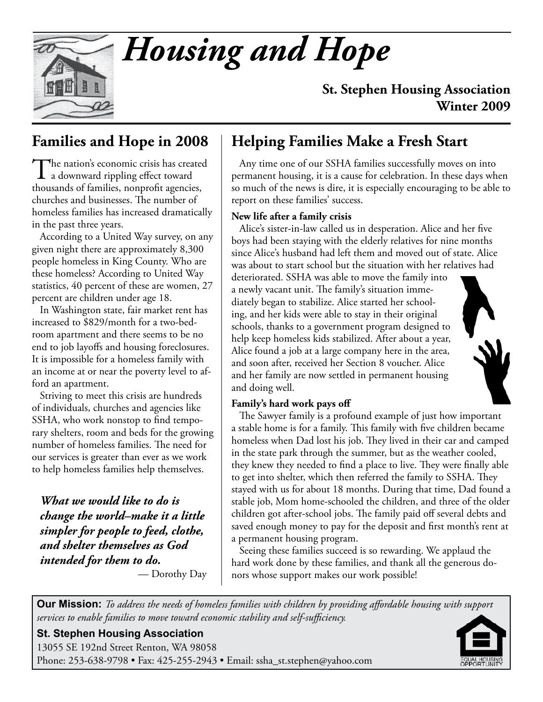

# *Housing and Hope*

**St. Stephen Housing Association Winter 2009**

# **Families and Hope in 2008**

The nation's economic crisis has created<br>a downward rippling effect toward thousands of families, nonprofit agencies, churches and businesses. The number of homeless families has increased dramatically in the past three years.

According to a United Way survey, on any given night there are approximately 8,300 people homeless in King County. Who are these homeless? According to United Way statistics, 40 percent of these are women, 27 percent are children under age 18.

In Washington state, fair market rent has increased to \$829/month for a two-bedroom apartment and there seems to be no end to job layoffs and housing foreclosures. It is impossible for a homeless family with an income at or near the poverty level to afford an apartment.

Striving to meet this crisis are hundreds of individuals, churches and agencies like SSHA, who work nonstop to find temporary shelters, room and beds for the growing number of homeless families. The need for our services is greater than ever as we work to help homeless families help themselves.

*What we would like to do is change the world–make it a little simpler for people to feed, clothe, and shelter themselves as God intended for them to do.*

— Dorothy Day

## **Helping Families Make a Fresh Start**

Any time one of our SSHA families successfully moves on into permanent housing, it is a cause for celebration. In these days when so much of the news is dire, it is especially encouraging to be able to report on these families' success.

#### **New life after a family crisis**

Alice's sister-in-law called us in desperation. Alice and her five boys had been staying with the elderly relatives for nine months since Alice's husband had left them and moved out of state. Alice was about to start school but the situation with her relatives had

deteriorated. SSHA was able to move the family into a newly vacant unit. The family's situation immediately began to stabilize. Alice started her schooling, and her kids were able to stay in their original schools, thanks to a government program designed to help keep homeless kids stabilized. After about a year, Alice found a job at a large company here in the area, and soon after, received her Section 8 voucher. Alice and her family are now settled in permanent housing and doing well.



#### **Family's hard work pays off**

The Sawyer family is a profound example of just how important a stable home is for a family. This family with five children became homeless when Dad lost his job. They lived in their car and camped in the state park through the summer, but as the weather cooled, they knew they needed to find a place to live. They were finally able to get into shelter, which then referred the family to SSHA. They stayed with us for about 18 months. During that time, Dad found a stable job, Mom home-schooled the children, and three of the older children got after-school jobs. The family paid off several debts and saved enough money to pay for the deposit and first month's rent at a permanent housing program.

Seeing these families succeed is so rewarding. We applaud the hard work done by these families, and thank all the generous donors whose support makes our work possible!

**Our Mission:** *To address the needs of homeless families with children by providing affordable housing with support services to enable families to move toward economic stability and self-sufficiency.*

**St. Stephen Housing Association** 13055 SE 192nd Street Renton, WA 98058 Phone: 253-638-9798 • Fax: 425-255-2943 • Email: ssha\_st.stephen@yahoo.com

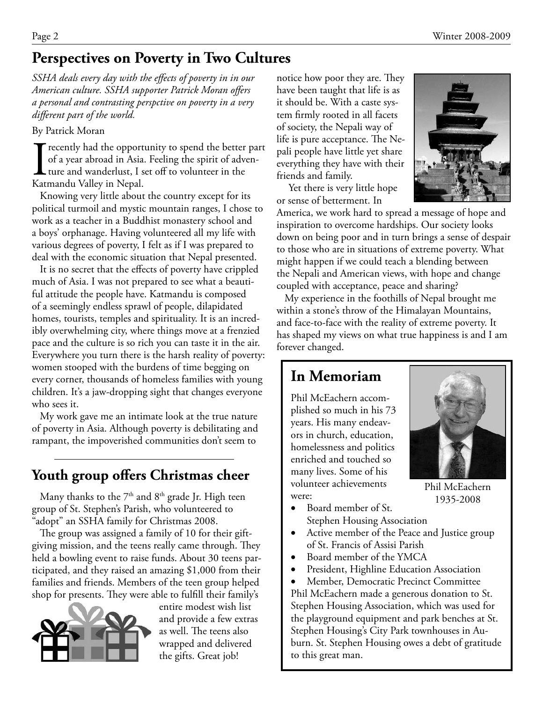# **Perspectives on Poverty in Two Cultures**

*SSHA deals every day with the effects of poverty in in our American culture. SSHA supporter Patrick Moran offers a personal and contrasting perspctive on poverty in a very different part of the world.* 

#### By Patrick Moran

 $\Gamma$  recently had the opportunity to spend the better part of a year abroad in Asia. Feeling the spirit of adven-**L** ture and wanderlust, I set off to volunteer in the Katmandu Valley in Nepal.

Knowing very little about the country except for its political turmoil and mystic mountain ranges, I chose to work as a teacher in a Buddhist monastery school and a boys' orphanage. Having volunteered all my life with various degrees of poverty, I felt as if I was prepared to deal with the economic situation that Nepal presented.

It is no secret that the effects of poverty have crippled much of Asia. I was not prepared to see what a beautiful attitude the people have. Katmandu is composed of a seemingly endless sprawl of people, dilapidated homes, tourists, temples and spirituality. It is an incredibly overwhelming city, where things move at a frenzied pace and the culture is so rich you can taste it in the air. Everywhere you turn there is the harsh reality of poverty: women stooped with the burdens of time begging on every corner, thousands of homeless families with young children. It's a jaw-dropping sight that changes everyone who sees it.

My work gave me an intimate look at the true nature of poverty in Asia. Although poverty is debilitating and rampant, the impoverished communities don't seem to

## **Youth group offers Christmas cheer**

Many thanks to the  $7<sup>th</sup>$  and  $8<sup>th</sup>$  grade Jr. High teen group of St. Stephen's Parish, who volunteered to "adopt" an SSHA family for Christmas 2008.

The group was assigned a family of 10 for their giftgiving mission, and the teens really came through. They held a bowling event to raise funds. About 30 teens participated, and they raised an amazing \$1,000 from their families and friends. Members of the teen group helped shop for presents. They were able to fulfill their family's



entire modest wish list and provide a few extras as well. The teens also wrapped and delivered the gifts. Great job!

notice how poor they are. They have been taught that life is as it should be. With a caste system firmly rooted in all facets of society, the Nepali way of life is pure acceptance. The Nepali people have little yet share everything they have with their friends and family.

Yet there is very little hope or sense of betterment. In



America, we work hard to spread a message of hope and inspiration to overcome hardships. Our society looks down on being poor and in turn brings a sense of despair to those who are in situations of extreme poverty. What might happen if we could teach a blending between the Nepali and American views, with hope and change coupled with acceptance, peace and sharing?

My experience in the foothills of Nepal brought me within a stone's throw of the Himalayan Mountains, and face-to-face with the reality of extreme poverty. It has shaped my views on what true happiness is and I am forever changed.

## **In Memoriam**

Phil McEachern accomplished so much in his 73 years. His many endeavors in church, education, homelessness and politics enriched and touched so many lives. Some of his volunteer achievements were:



- Phil McEachern 1935-2008
- Board member of St. Stephen Housing Association
- Active member of the Peace and Justice group of St. Francis of Assisi Parish
- Board member of the YMCA
- President, Highline Education Association

Member, Democratic Precinct Committee Phil McEachern made a generous donation to St. Stephen Housing Association, which was used for the playground equipment and park benches at St. Stephen Housing's City Park townhouses in Auburn. St. Stephen Housing owes a debt of gratitude to this great man.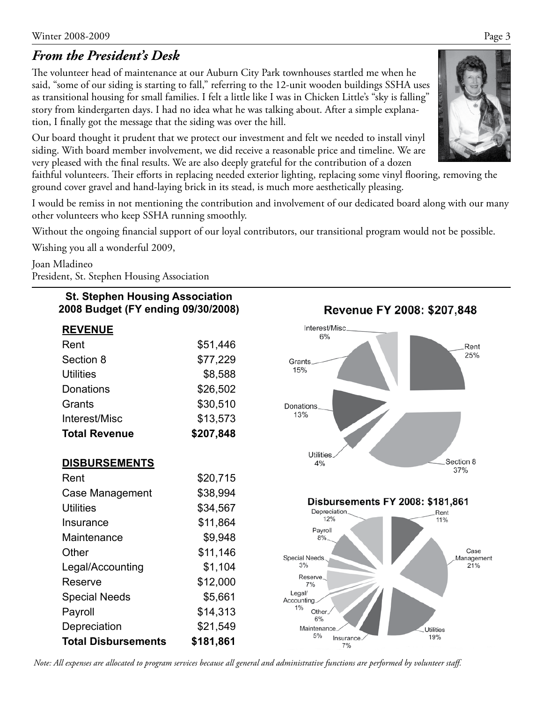## *From the President's Desk*

The volunteer head of maintenance at our Auburn City Park townhouses startled me when he said, "some of our siding is starting to fall," referring to the 12-unit wooden buildings SSHA uses as transitional housing for small families. I felt a little like I was in Chicken Little's "sky is falling" story from kindergarten days. I had no idea what he was talking about. After a simple explanation, I finally got the message that the siding was over the hill.

Our board thought it prudent that we protect our investment and felt we needed to install vinyl siding. With board member involvement, we did receive a reasonable price and timeline. We are very pleased with the final results. We are also deeply grateful for the contribution of a dozen

faithful volunteers. Their efforts in replacing needed exterior lighting, replacing some vinyl flooring, removing the ground cover gravel and hand-laying brick in its stead, is much more aesthetically pleasing.

I would be remiss in not mentioning the contribution and involvement of our dedicated board along with our many other volunteers who keep SSHA running smoothly.

Without the ongoing financial support of our loyal contributors, our transitional program would not be possible.

Wishing you all a wonderful 2009,

Joan Mladineo President, St. Stephen Housing Association



*Note: All expenses are allocated to program services because all general and administrative functions are performed by volunteer staff.*